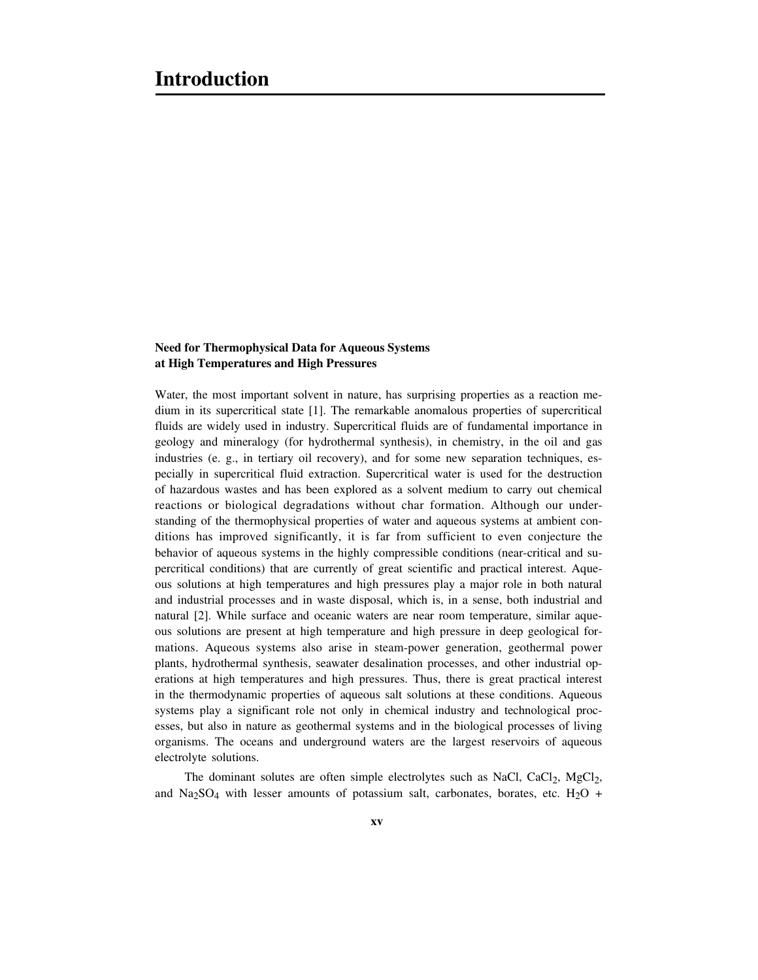## **Need for Thermophysical Data for Aqueous Systems at High Temperatures and High Pressures**

Water, the most important solvent in nature, has surprising properties as a reaction medium in its supercritical state [1]. The remarkable anomalous properties of supercritical fluids are widely used in industry. Supercritical fluids are of fundamental importance in geology and mineralogy (for hydrothermal synthesis), in chemistry, in the oil and gas industries (e. g., in tertiary oil recovery), and for some new separation techniques, especially in supercritical fluid extraction. Supercritical water is used for the destruction of hazardous wastes and has been explored as a solvent medium to carry out chemical reactions or biological degradations without char formation. Although our understanding of the thermophysical properties of water and aqueous systems at ambient conditions has improved significantly, it is far from sufficient to even conjecture the behavior of aqueous systems in the highly compressible conditions (near-critical and supercritical conditions) that are currently of great scientific and practical interest. Aqueous solutions at high temperatures and high pressures play a major role in both natural and industrial processes and in waste disposal, which is, in a sense, both industrial and natural [2]. While surface and oceanic waters are near room temperature, similar aqueous solutions are present at high temperature and high pressure in deep geological formations. Aqueous systems also arise in steam-power generation, geothermal power plants, hydrothermal synthesis, seawater desalination processes, and other industrial operations at high temperatures and high pressures. Thus, there is great practical interest in the thermodynamic properties of aqueous salt solutions at these conditions. Aqueous systems play a significant role not only in chemical industry and technological processes, but also in nature as geothermal systems and in the biological processes of living organisms. The oceans and underground waters are the largest reservoirs of aqueous electrolyte solutions.

The dominant solutes are often simple electrolytes such as NaCl,  $CaCl<sub>2</sub>$ ,  $MgCl<sub>2</sub>$ , and  $\text{Na}_2\text{SO}_4$  with lesser amounts of potassium salt, carbonates, borates, etc.  $\text{H}_2\text{O}$  +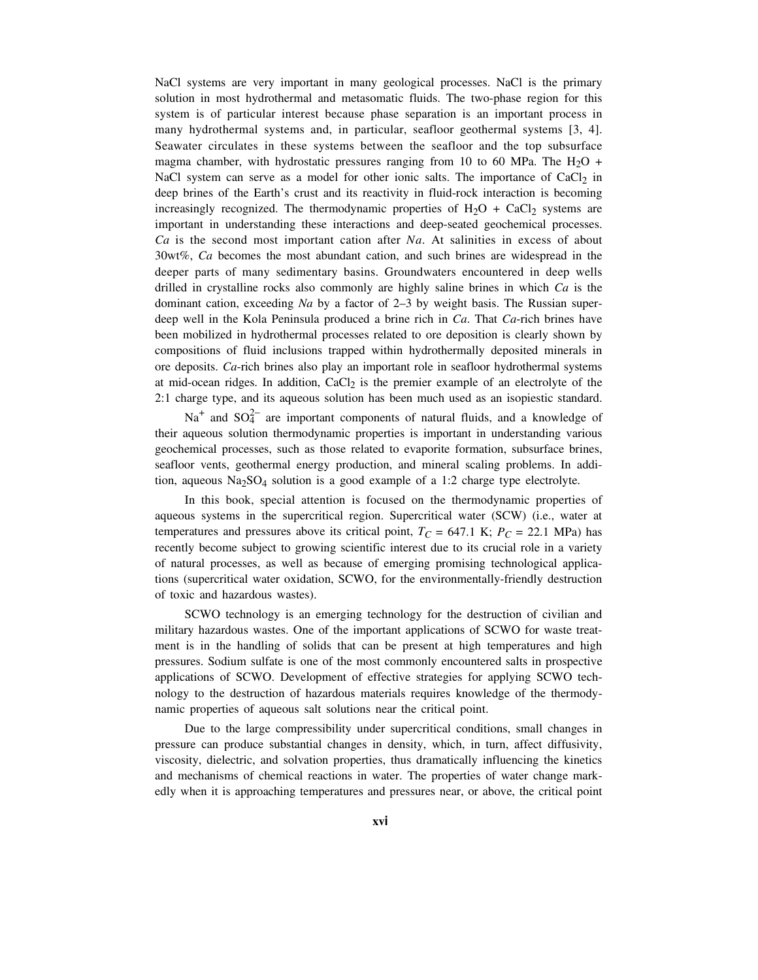NaCl systems are very important in many geological processes. NaCl is the primary solution in most hydrothermal and metasomatic fluids. The two-phase region for this system is of particular interest because phase separation is an important process in many hydrothermal systems and, in particular, seafloor geothermal systems [3, 4]. Seawater circulates in these systems between the seafloor and the top subsurface magma chamber, with hydrostatic pressures ranging from 10 to 60 MPa. The  $H<sub>2</sub>O$  + NaCl system can serve as a model for other ionic salts. The importance of  $CaCl<sub>2</sub>$  in deep brines of the Earth's crust and its reactivity in fluid-rock interaction is becoming increasingly recognized. The thermodynamic properties of  $H_2O + CaCl_2$  systems are important in understanding these interactions and deep-seated geochemical processes. *Ca* is the second most important cation after *Na*. At salinities in excess of about 30wt%, *Ca* becomes the most abundant cation, and such brines are widespread in the deeper parts of many sedimentary basins. Groundwaters encountered in deep wells drilled in crystalline rocks also commonly are highly saline brines in which *Ca* is the dominant cation, exceeding *Na* by a factor of 2–3 by weight basis. The Russian superdeep well in the Kola Peninsula produced a brine rich in *Ca*. That *Ca*-rich brines have been mobilized in hydrothermal processes related to ore deposition is clearly shown by compositions of fluid inclusions trapped within hydrothermally deposited minerals in ore deposits. *Ca*-rich brines also play an important role in seafloor hydrothermal systems at mid-ocean ridges. In addition,  $CaCl<sub>2</sub>$  is the premier example of an electrolyte of the 2:1 charge type, and its aqueous solution has been much used as an isopiestic standard.

Na<sup>+</sup> and SO<sub>4</sub><sup>-</sup> are important components of natural fluids, and a knowledge of their aqueous solution thermodynamic properties is important in understanding various geochemical processes, such as those related to evaporite formation, subsurface brines, seafloor vents, geothermal energy production, and mineral scaling problems. In addition, aqueous  $\text{Na}_2\text{SO}_4$  solution is a good example of a 1:2 charge type electrolyte.

In this book, special attention is focused on the thermodynamic properties of aqueous systems in the supercritical region. Supercritical water (SCW) (i.e., water at temperatures and pressures above its critical point,  $T_C = 647.1 \text{ K}$ ;  $P_C = 22.1 \text{ MPa}$ ) has recently become subject to growing scientific interest due to its crucial role in a variety of natural processes, as well as because of emerging promising technological applications (supercritical water oxidation, SCWO, for the environmentally-friendly destruction of toxic and hazardous wastes).

SCWO technology is an emerging technology for the destruction of civilian and military hazardous wastes. One of the important applications of SCWO for waste treatment is in the handling of solids that can be present at high temperatures and high pressures. Sodium sulfate is one of the most commonly encountered salts in prospective applications of SCWO. Development of effective strategies for applying SCWO technology to the destruction of hazardous materials requires knowledge of the thermodynamic properties of aqueous salt solutions near the critical point.

Due to the large compressibility under supercritical conditions, small changes in pressure can produce substantial changes in density, which, in turn, affect diffusivity, viscosity, dielectric, and solvation properties, thus dramatically influencing the kinetics and mechanisms of chemical reactions in water. The properties of water change markedly when it is approaching temperatures and pressures near, or above, the critical point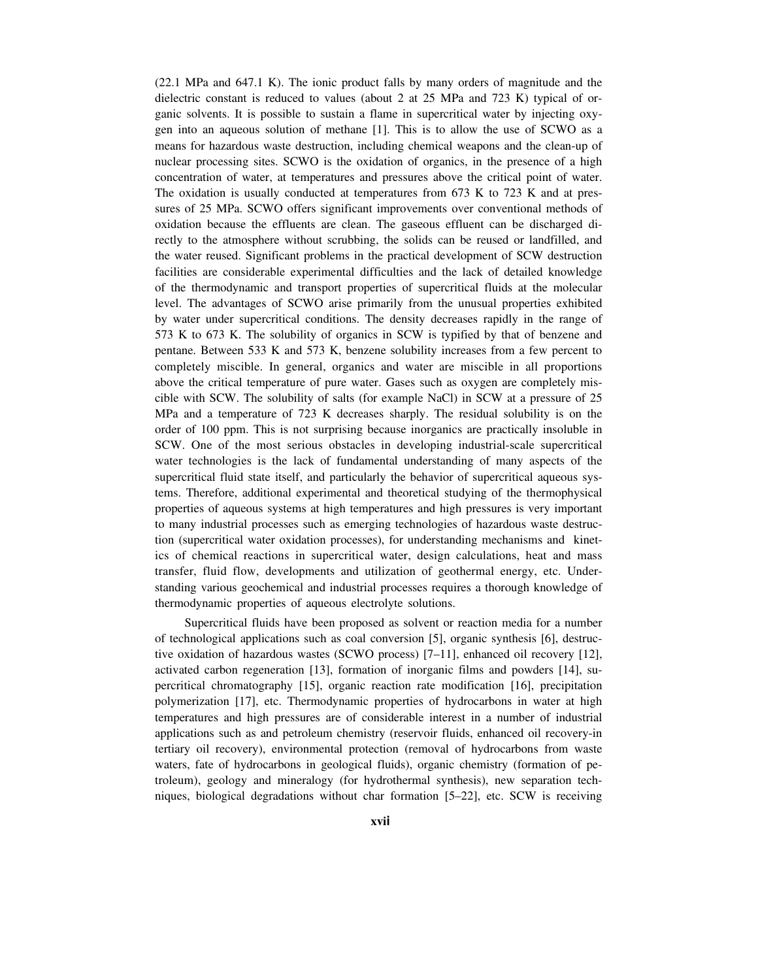(22.1 MPa and 647.1 K). The ionic product falls by many orders of magnitude and the dielectric constant is reduced to values (about 2 at 25 MPa and 723 K) typical of organic solvents. It is possible to sustain a flame in supercritical water by injecting oxygen into an aqueous solution of methane [1]. This is to allow the use of SCWO as a means for hazardous waste destruction, including chemical weapons and the clean-up of nuclear processing sites. SCWO is the oxidation of organics, in the presence of a high concentration of water, at temperatures and pressures above the critical point of water. The oxidation is usually conducted at temperatures from 673 K to 723 K and at pressures of 25 MPa. SCWO offers significant improvements over conventional methods of oxidation because the effluents are clean. The gaseous effluent can be discharged directly to the atmosphere without scrubbing, the solids can be reused or landfilled, and the water reused. Significant problems in the practical development of SCW destruction facilities are considerable experimental difficulties and the lack of detailed knowledge of the thermodynamic and transport properties of supercritical fluids at the molecular level. The advantages of SCWO arise primarily from the unusual properties exhibited by water under supercritical conditions. The density decreases rapidly in the range of 573 K to 673 K. The solubility of organics in SCW is typified by that of benzene and pentane. Between 533 K and 573 K, benzene solubility increases from a few percent to completely miscible. In general, organics and water are miscible in all proportions above the critical temperature of pure water. Gases such as oxygen are completely miscible with SCW. The solubility of salts (for example NaCl) in SCW at a pressure of 25 MPa and a temperature of 723 K decreases sharply. The residual solubility is on the order of 100 ppm. This is not surprising because inorganics are practically insoluble in SCW. One of the most serious obstacles in developing industrial-scale supercritical water technologies is the lack of fundamental understanding of many aspects of the supercritical fluid state itself, and particularly the behavior of supercritical aqueous systems. Therefore, additional experimental and theoretical studying of the thermophysical properties of aqueous systems at high temperatures and high pressures is very important to many industrial processes such as emerging technologies of hazardous waste destruction (supercritical water oxidation processes), for understanding mechanisms and kinetics of chemical reactions in supercritical water, design calculations, heat and mass transfer, fluid flow, developments and utilization of geothermal energy, etc. Understanding various geochemical and industrial processes requires a thorough knowledge of thermodynamic properties of aqueous electrolyte solutions.

Supercritical fluids have been proposed as solvent or reaction media for a number of technological applications such as coal conversion [5], organic synthesis [6], destructive oxidation of hazardous wastes (SCWO process) [7–11], enhanced oil recovery [12], activated carbon regeneration [13], formation of inorganic films and powders [14], supercritical chromatography [15], organic reaction rate modification [16], precipitation polymerization [17], etc. Thermodynamic properties of hydrocarbons in water at high temperatures and high pressures are of considerable interest in a number of industrial applications such as and petroleum chemistry (reservoir fluids, enhanced oil recovery-in tertiary oil recovery), environmental protection (removal of hydrocarbons from waste waters, fate of hydrocarbons in geological fluids), organic chemistry (formation of petroleum), geology and mineralogy (for hydrothermal synthesis), new separation techniques, biological degradations without char formation [5–22], etc. SCW is receiving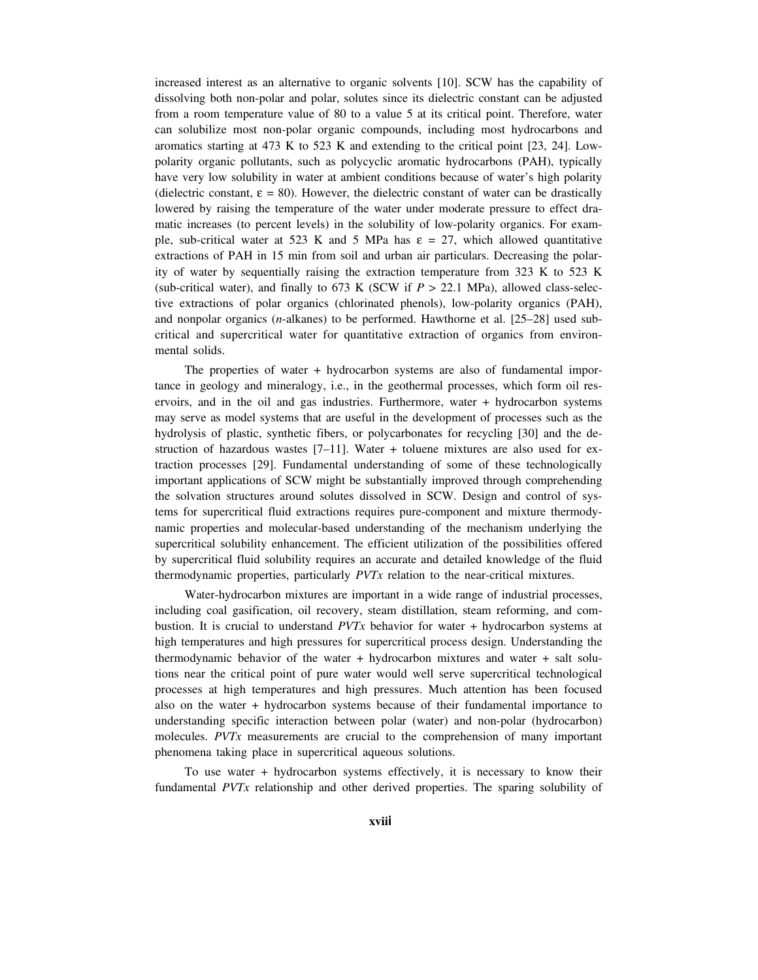increased interest as an alternative to organic solvents [10]. SCW has the capability of dissolving both non-polar and polar, solutes since its dielectric constant can be adjusted from a room temperature value of 80 to a value 5 at its critical point. Therefore, water can solubilize most non-polar organic compounds, including most hydrocarbons and aromatics starting at 473 K to 523 K and extending to the critical point [23, 24]. Lowpolarity organic pollutants, such as polycyclic aromatic hydrocarbons (PAH), typically have very low solubility in water at ambient conditions because of water's high polarity (dielectric constant,  $\varepsilon = 80$ ). However, the dielectric constant of water can be drastically lowered by raising the temperature of the water under moderate pressure to effect dramatic increases (to percent levels) in the solubility of low-polarity organics. For example, sub-critical water at 523 K and 5 MPa has  $\varepsilon = 27$ , which allowed quantitative extractions of PAH in 15 min from soil and urban air particulars. Decreasing the polarity of water by sequentially raising the extraction temperature from 323 K to 523 K (sub-critical water), and finally to 673 K (SCW if  $P > 22.1$  MPa), allowed class-selective extractions of polar organics (chlorinated phenols), low-polarity organics (PAH), and nonpolar organics (*n*-alkanes) to be performed. Hawthorne et al. [25–28] used subcritical and supercritical water for quantitative extraction of organics from environmental solids.

The properties of water + hydrocarbon systems are also of fundamental importance in geology and mineralogy, i.e., in the geothermal processes, which form oil reservoirs, and in the oil and gas industries. Furthermore, water + hydrocarbon systems may serve as model systems that are useful in the development of processes such as the hydrolysis of plastic, synthetic fibers, or polycarbonates for recycling [30] and the destruction of hazardous wastes  $[7-11]$ . Water + toluene mixtures are also used for extraction processes [29]. Fundamental understanding of some of these technologically important applications of SCW might be substantially improved through comprehending the solvation structures around solutes dissolved in SCW. Design and control of systems for supercritical fluid extractions requires pure-component and mixture thermodynamic properties and molecular-based understanding of the mechanism underlying the supercritical solubility enhancement. The efficient utilization of the possibilities offered by supercritical fluid solubility requires an accurate and detailed knowledge of the fluid thermodynamic properties, particularly *PVTx* relation to the near-critical mixtures.

Water-hydrocarbon mixtures are important in a wide range of industrial processes, including coal gasification, oil recovery, steam distillation, steam reforming, and combustion. It is crucial to understand *PVTx* behavior for water + hydrocarbon systems at high temperatures and high pressures for supercritical process design. Understanding the thermodynamic behavior of the water + hydrocarbon mixtures and water + salt solutions near the critical point of pure water would well serve supercritical technological processes at high temperatures and high pressures. Much attention has been focused also on the water + hydrocarbon systems because of their fundamental importance to understanding specific interaction between polar (water) and non-polar (hydrocarbon) molecules. *PVTx* measurements are crucial to the comprehension of many important phenomena taking place in supercritical aqueous solutions.

To use water + hydrocarbon systems effectively, it is necessary to know their fundamental *PVTx* relationship and other derived properties. The sparing solubility of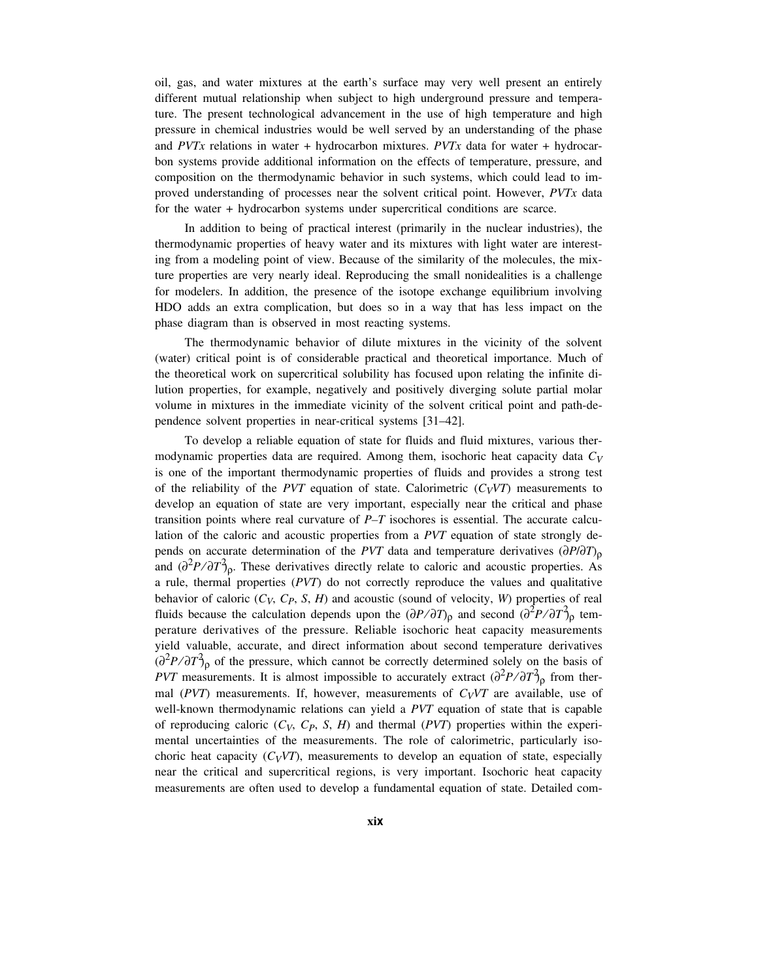oil, gas, and water mixtures at the earth's surface may very well present an entirely different mutual relationship when subject to high underground pressure and temperature. The present technological advancement in the use of high temperature and high pressure in chemical industries would be well served by an understanding of the phase and *PVTx* relations in water + hydrocarbon mixtures. *PVTx* data for water + hydrocarbon systems provide additional information on the effects of temperature, pressure, and composition on the thermodynamic behavior in such systems, which could lead to improved understanding of processes near the solvent critical point. However, *PVTx* data for the water + hydrocarbon systems under supercritical conditions are scarce.

In addition to being of practical interest (primarily in the nuclear industries), the thermodynamic properties of heavy water and its mixtures with light water are interesting from a modeling point of view. Because of the similarity of the molecules, the mixture properties are very nearly ideal. Reproducing the small nonidealities is a challenge for modelers. In addition, the presence of the isotope exchange equilibrium involving HDO adds an extra complication, but does so in a way that has less impact on the phase diagram than is observed in most reacting systems.

The thermodynamic behavior of dilute mixtures in the vicinity of the solvent (water) critical point is of considerable practical and theoretical importance. Much of the theoretical work on supercritical solubility has focused upon relating the infinite dilution properties, for example, negatively and positively diverging solute partial molar volume in mixtures in the immediate vicinity of the solvent critical point and path-dependence solvent properties in near-critical systems [31–42].

To develop a reliable equation of state for fluids and fluid mixtures, various thermodynamic properties data are required. Among them, isochoric heat capacity data *CV* is one of the important thermodynamic properties of fluids and provides a strong test of the reliability of the *PVT* equation of state. Calorimetric  $(C_V V T)$  measurements to develop an equation of state are very important, especially near the critical and phase transition points where real curvature of *P–T* isochores is essential. The accurate calculation of the caloric and acoustic properties from a *PVT* equation of state strongly depends on accurate determination of the *PVT* data and temperature derivatives  $(\partial P/\partial T)$ <sub>0</sub> and  $\left(\frac{\partial^2 P}{\partial T}\right)_p$ . These derivatives directly relate to caloric and acoustic properties. As a rule, thermal properties (*PVT*) do not correctly reproduce the values and qualitative behavior of caloric  $(C_V, C_P, S, H)$  and acoustic (sound of velocity, *W*) properties of real fluids because the calculation depends upon the  $(\partial P/\partial T)_{\rho}$  and second  $(\partial^2 P/\partial T)_{\rho}$  temperature derivatives of the pressure. Reliable isochoric heat capacity measurements yield valuable, accurate, and direct information about second temperature derivatives  $\left(\frac{\partial^2 P}{\partial T}\right)_p$  of the pressure, which cannot be correctly determined solely on the basis of *PVT* measurements. It is almost impossible to accurately extract  $\left(\frac{\partial^2 P}{\partial T}\right)_p$  from thermal ( $PVT$ ) measurements. If, however, measurements of  $C_VVT$  are available, use of well-known thermodynamic relations can yield a *PVT* equation of state that is capable of reproducing caloric  $(C_V, C_P, S, H)$  and thermal  $(PVT)$  properties within the experimental uncertainties of the measurements. The role of calorimetric, particularly isochoric heat capacity  $(C_VVT)$ , measurements to develop an equation of state, especially near the critical and supercritical regions, is very important. Isochoric heat capacity measurements are often used to develop a fundamental equation of state. Detailed com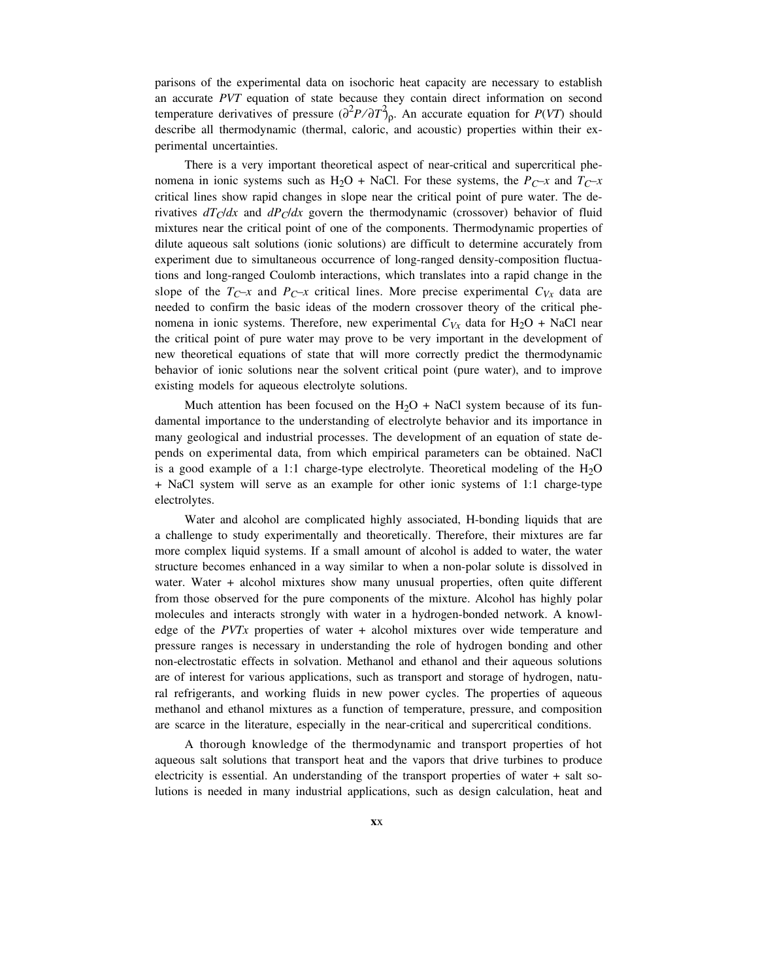parisons of the experimental data on isochoric heat capacity are necessary to establish an accurate *PVT* equation of state because they contain direct information on second temperature derivatives of pressure  $\left(\frac{\partial^2 P}{\partial T}\right)_p$ . An accurate equation for *P(VT)* should describe all thermodynamic (thermal, caloric, and acoustic) properties within their experimental uncertainties.

There is a very important theoretical aspect of near-critical and supercritical phenomena in ionic systems such as  $H_2O + NaCl$ . For these systems, the *P<sub>C</sub>*-*x* and *T<sub>C</sub>*-*x* critical lines show rapid changes in slope near the critical point of pure water. The derivatives  $dT_C/dx$  and  $dP_C/dx$  govern the thermodynamic (crossover) behavior of fluid mixtures near the critical point of one of the components. Thermodynamic properties of dilute aqueous salt solutions (ionic solutions) are difficult to determine accurately from experiment due to simultaneous occurrence of long-ranged density-composition fluctuations and long-ranged Coulomb interactions, which translates into a rapid change in the slope of the  $T_{C^{-x}}$  and  $P_{C^{-x}}$  critical lines. More precise experimental  $C_{Vx}$  data are needed to confirm the basic ideas of the modern crossover theory of the critical phenomena in ionic systems. Therefore, new experimental  $C_{Vx}$  data for  $H_2O + NaCl$  near the critical point of pure water may prove to be very important in the development of new theoretical equations of state that will more correctly predict the thermodynamic behavior of ionic solutions near the solvent critical point (pure water), and to improve existing models for aqueous electrolyte solutions.

Much attention has been focused on the  $H_2O + NaCl$  system because of its fundamental importance to the understanding of electrolyte behavior and its importance in many geological and industrial processes. The development of an equation of state depends on experimental data, from which empirical parameters can be obtained. NaCl is a good example of a 1:1 charge-type electrolyte. Theoretical modeling of the  $H<sub>2</sub>O$ + NaCl system will serve as an example for other ionic systems of 1:1 charge-type electrolytes.

Water and alcohol are complicated highly associated, H-bonding liquids that are a challenge to study experimentally and theoretically. Therefore, their mixtures are far more complex liquid systems. If a small amount of alcohol is added to water, the water structure becomes enhanced in a way similar to when a non-polar solute is dissolved in water. Water + alcohol mixtures show many unusual properties, often quite different from those observed for the pure components of the mixture. Alcohol has highly polar molecules and interacts strongly with water in a hydrogen-bonded network. A knowledge of the *PVTx* properties of water + alcohol mixtures over wide temperature and pressure ranges is necessary in understanding the role of hydrogen bonding and other non-electrostatic effects in solvation. Methanol and ethanol and their aqueous solutions are of interest for various applications, such as transport and storage of hydrogen, natural refrigerants, and working fluids in new power cycles. The properties of aqueous methanol and ethanol mixtures as a function of temperature, pressure, and composition are scarce in the literature, especially in the near-critical and supercritical conditions.

A thorough knowledge of the thermodynamic and transport properties of hot aqueous salt solutions that transport heat and the vapors that drive turbines to produce electricity is essential. An understanding of the transport properties of water + salt solutions is needed in many industrial applications, such as design calculation, heat and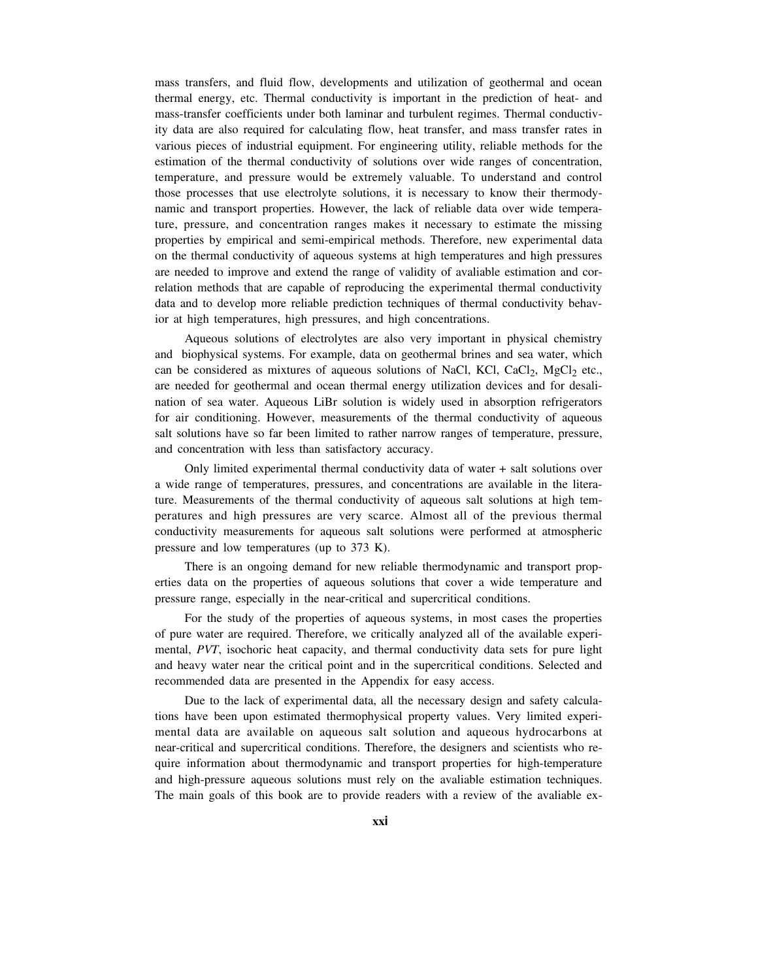mass transfers, and fluid flow, developments and utilization of geothermal and ocean thermal energy, etc. Thermal conductivity is important in the prediction of heat- and mass-transfer coefficients under both laminar and turbulent regimes. Thermal conductivity data are also required for calculating flow, heat transfer, and mass transfer rates in various pieces of industrial equipment. For engineering utility, reliable methods for the estimation of the thermal conductivity of solutions over wide ranges of concentration, temperature, and pressure would be extremely valuable. To understand and control those processes that use electrolyte solutions, it is necessary to know their thermodynamic and transport properties. However, the lack of reliable data over wide temperature, pressure, and concentration ranges makes it necessary to estimate the missing properties by empirical and semi-empirical methods. Therefore, new experimental data on the thermal conductivity of aqueous systems at high temperatures and high pressures are needed to improve and extend the range of validity of avaliable estimation and correlation methods that are capable of reproducing the experimental thermal conductivity data and to develop more reliable prediction techniques of thermal conductivity behavior at high temperatures, high pressures, and high concentrations.

Aqueous solutions of electrolytes are also very important in physical chemistry and biophysical systems. For example, data on geothermal brines and sea water, which can be considered as mixtures of aqueous solutions of NaCl, KCl, CaCl<sub>2</sub>, MgCl<sub>2</sub> etc., are needed for geothermal and ocean thermal energy utilization devices and for desalination of sea water. Aqueous LiBr solution is widely used in absorption refrigerators for air conditioning. However, measurements of the thermal conductivity of aqueous salt solutions have so far been limited to rather narrow ranges of temperature, pressure, and concentration with less than satisfactory accuracy.

Only limited experimental thermal conductivity data of water + salt solutions over a wide range of temperatures, pressures, and concentrations are available in the literature. Measurements of the thermal conductivity of aqueous salt solutions at high temperatures and high pressures are very scarce. Almost all of the previous thermal conductivity measurements for aqueous salt solutions were performed at atmospheric pressure and low temperatures (up to 373 K).

There is an ongoing demand for new reliable thermodynamic and transport properties data on the properties of aqueous solutions that cover a wide temperature and pressure range, especially in the near-critical and supercritical conditions.

For the study of the properties of aqueous systems, in most cases the properties of pure water are required. Therefore, we critically analyzed all of the available experimental, *PVT*, isochoric heat capacity, and thermal conductivity data sets for pure light and heavy water near the critical point and in the supercritical conditions. Selected and recommended data are presented in the Appendix for easy access.

Due to the lack of experimental data, all the necessary design and safety calculations have been upon estimated thermophysical property values. Very limited experimental data are available on aqueous salt solution and aqueous hydrocarbons at near-critical and supercritical conditions. Therefore, the designers and scientists who require information about thermodynamic and transport properties for high-temperature and high-pressure aqueous solutions must rely on the avaliable estimation techniques. The main goals of this book are to provide readers with a review of the avaliable ex